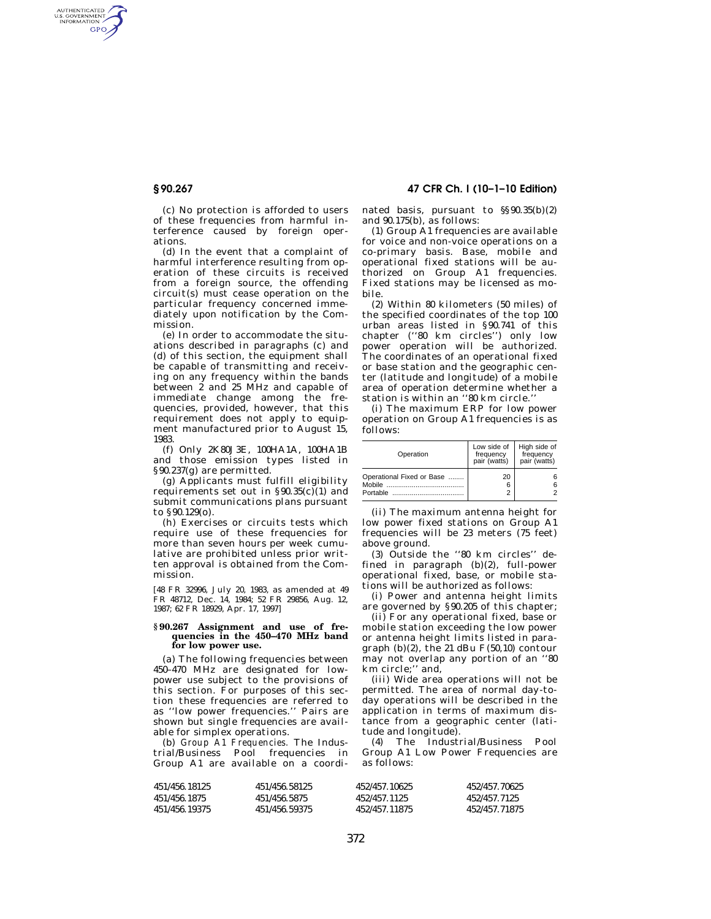AUTHENTICATED<br>U.S. GOVERNMENT<br>INFORMATION GPO

(c) No protection is afforded to users of these frequencies from harmful interference caused by foreign operations.

(d) In the event that a complaint of harmful interference resulting from operation of these circuits is received from a foreign source, the offending circuit(s) must cease operation on the particular frequency concerned immediately upon notification by the Commission.

(e) In order to accommodate the situations described in paragraphs (c) and (d) of this section, the equipment shall be capable of transmitting and receiving on any frequency within the bands between 2 and 25 MHz and capable of immediate change among the frequencies, provided, however, that this requirement does not apply to equipment manufactured prior to August 15, 1983.

(f) Only 2K80J3E, 100HA1A, 100HA1B and those emission types listed in §90.237(g) are permitted.

(g) Applicants must fulfill eligibility requirements set out in §90.35(c)(1) and submit communications plans pursuant to §90.129(o).

(h) Exercises or circuits tests which require use of these frequencies for more than seven hours per week cumulative are prohibited unless prior written approval is obtained from the Commission.

[48 FR 32996, July 20, 1983, as amended at 49 FR 48712, Dec. 14, 1984; 52 FR 29856, Aug. 12, 1987; 62 FR 18929, Apr. 17, 1997]

### **§ 90.267 Assignment and use of frequencies in the 450–470 MHz band for low power use.**

(a) The following frequencies between 450–470 MHz are designated for lowpower use subject to the provisions of this section. For purposes of this section these frequencies are referred to as ''low power frequencies.'' Pairs are shown but single frequencies are available for simplex operations.

(b) *Group A1 Frequencies.* The Industrial/Business Pool frequencies in Group A1 are available on a coordi-

**§ 90.267 47 CFR Ch. I (10–1–10 Edition)**  nated basis, pursuant to §§90.35(b)(2) and 90.175(b), as follows:

(1) Group A1 frequencies are available for voice and non-voice operations on a co-primary basis. Base, mobile and operational fixed stations will be authorized on Group A1 frequencies. Fixed stations may be licensed as mobile.

(2) Within 80 kilometers (50 miles) of the specified coordinates of the top 100 urban areas listed in §90.741 of this chapter (''80 km circles'') only low power operation will be authorized. The coordinates of an operational fixed or base station and the geographic center (latitude and longitude) of a mobile area of operation determine whether a station is within an ''80 km circle.''

(i) The maximum ERP for low power operation on Group A1 frequencies is as follows:

| Operation                                                     | Low side of<br>frequency<br>pair (watts) | High side of<br>frequency<br>pair (watts) |
|---------------------------------------------------------------|------------------------------------------|-------------------------------------------|
| Operational Fixed or Base<br>Mobile <b>Mobile</b><br>Portable | 20<br>6                                  | 6                                         |

(ii) The maximum antenna height for low power fixed stations on Group A1 frequencies will be 23 meters (75 feet) above ground.

(3) Outside the ''80 km circles'' defined in paragraph (b)(2), full-power operational fixed, base, or mobile stations will be authorized as follows:

(i) Power and antenna height limits are governed by §90.205 of this chapter;

(ii) For any operational fixed, base or mobile station exceeding the low power or antenna height limits listed in paragraph  $(b)(2)$ , the 21 dBu F(50,10) contour may not overlap any portion of an ''80 km circle;'' and,

(iii) Wide area operations will not be permitted. The area of normal day-today operations will be described in the application in terms of maximum distance from a geographic center (latitude and longitude).

(4) The Industrial/Business Pool Group A1 Low Power Frequencies are as follows:

| 451/456.18125 | 451/456.58125 | 452/457.10625 | 452/457.70625 |
|---------------|---------------|---------------|---------------|
| 451/456.1875  | 451/456.5875  | 452/457 1125  | 452/457 7125  |
| 451/456.19375 | 451/456 59375 | 452/457.11875 | 452/457.71875 |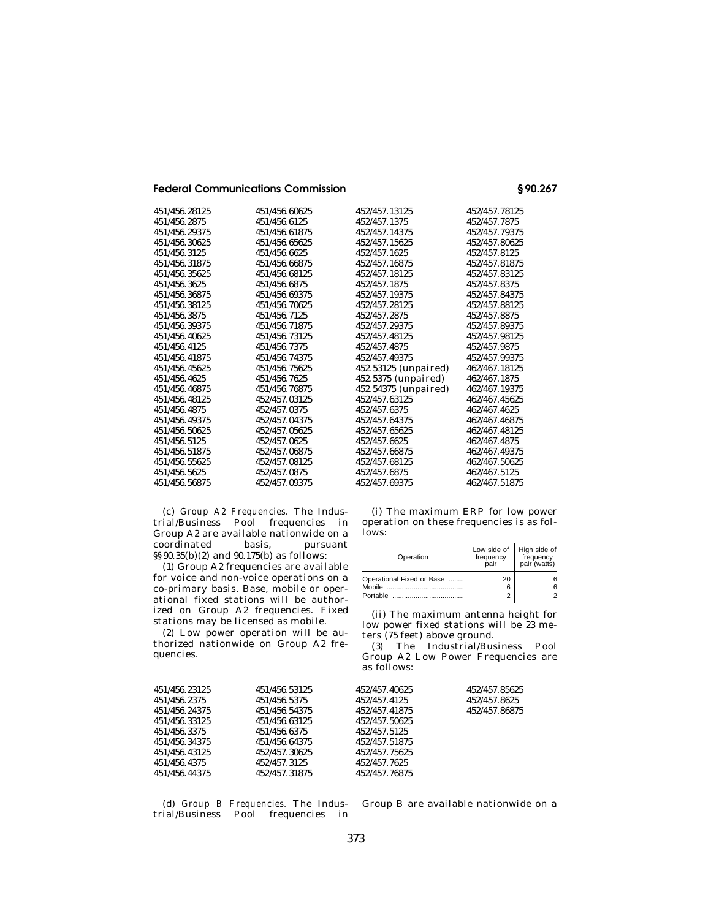**Federal Communications Commission § 90.267** 

| 451/456.28125 | 451/456.60625 | 452/457.13125          | 452/457.78125 |
|---------------|---------------|------------------------|---------------|
| 451/456.2875  | 451/456.6125  | 452/457.1375           | 452/457.7875  |
| 451/456.29375 | 451/456.61875 | 452/457.14375          | 452/457.79375 |
| 451/456.30625 | 451/456.65625 | 452/457.15625          | 452/457.80625 |
| 451/456.3125  | 451/456.6625  | 452/457.1625           | 452/457.8125  |
| 451/456.31875 | 451/456.66875 | 452/457.16875          | 452/457.81875 |
| 451/456.35625 | 451/456.68125 | 452/457.18125          | 452/457.83125 |
| 451/456.3625  | 451/456.6875  | 452/457.1875           | 452/457.8375  |
| 451/456.36875 | 451/456.69375 | 452/457.19375          | 452/457.84375 |
| 451/456.38125 | 451/456.70625 | 452/457.28125          | 452/457.88125 |
| 451/456.3875  | 451/456.7125  | 452/457.2875           | 452/457.8875  |
| 451/456.39375 | 451/456.71875 | 452/457.29375          | 452/457.89375 |
| 451/456.40625 | 451/456.73125 | 452/457.48125          | 452/457.98125 |
| 451/456.4125  | 451/456.7375  | 452/457.4875           | 452/457.9875  |
| 451/456.41875 | 451/456.74375 | 452/457.49375          | 452/457.99375 |
| 451/456.45625 | 451/456.75625 | $452.53125$ (unpaired) | 462/467.18125 |
| 451/456.4625  | 451/456.7625  | $452.5375$ (unpaired)  | 462/467.1875  |
| 451/456.46875 | 451/456.76875 | 452.54375 (unpaired)   | 462/467.19375 |
| 451/456.48125 | 452/457.03125 | 452/457.63125          | 462/467.45625 |
| 451/456.4875  | 452/457.0375  | 452/457.6375           | 462/467.4625  |
| 451/456.49375 | 452/457.04375 | 452/457.64375          | 462/467.46875 |
| 451/456.50625 | 452/457.05625 | 452/457.65625          | 462/467.48125 |
| 451/456.5125  | 452/457.0625  | 452/457.6625           | 462/467.4875  |
| 451/456.51875 | 452/457.06875 | 452/457.66875          | 462/467.49375 |
| 451/456.55625 | 452/457.08125 | 452/457.68125          | 462/467.50625 |
| 451/456.5625  | 452/457.0875  | 452/457.6875           | 462/467.5125  |
| 451/456.56875 | 452/457.09375 | 452/457.69375          | 462/467.51875 |
|               |               |                        |               |

(c) *Group A2 Frequencies.* The Industrial/Business Pool frequencies in Group A2 are available nationwide on a coordinated basis, pursuant §§90.35(b)(2) and 90.175(b) as follows:

(1) Group A2 frequencies are available for voice and non-voice operations on a co-primary basis. Base, mobile or operational fixed stations will be authorized on Group A2 frequencies. Fixed stations may be licensed as mobile.

(2) Low power operation will be authorized nationwide on Group A2 frequencies.

(i) The maximum ERP for low power operation on these frequencies is as follows:

| Operation                                    | Low side of<br>frequency<br>pair | High side of<br>frequency<br>pair (watts) |
|----------------------------------------------|----------------------------------|-------------------------------------------|
| Operational Fixed or Base<br><b>Portable</b> | 20<br>6                          | հ<br>հ                                    |

(ii) The maximum antenna height for low power fixed stations will be 23 meters (75 feet) above ground.

(3) The Industrial/Business Pool Group A2 Low Power Frequencies are as follows:

| 451/456.23125 | 451/456.53125 | 452/457.40625 | 452/457.85625 |
|---------------|---------------|---------------|---------------|
| 451/456.2375  | 451/456.5375  | 452/457.4125  | 452/457.8625  |
| 451/456.24375 | 451/456.54375 | 452/457.41875 | 452/457.86875 |
| 451/456.33125 | 451/456.63125 | 452/457.50625 |               |
| 451/456.3375  | 451/456.6375  | 452/457.5125  |               |
| 451/456.34375 | 451/456.64375 | 452/457.51875 |               |
| 451/456.43125 | 452/457.30625 | 452/457.75625 |               |
| 451/456.4375  | 452/457.3125  | 452/457.7625  |               |
| 451/456.44375 | 452/457.31875 | 452/457.76875 |               |
|               |               |               |               |

(d) *Group B Frequencies.* The Industrial/Business Pool frequencies in

Group B are available nationwide on a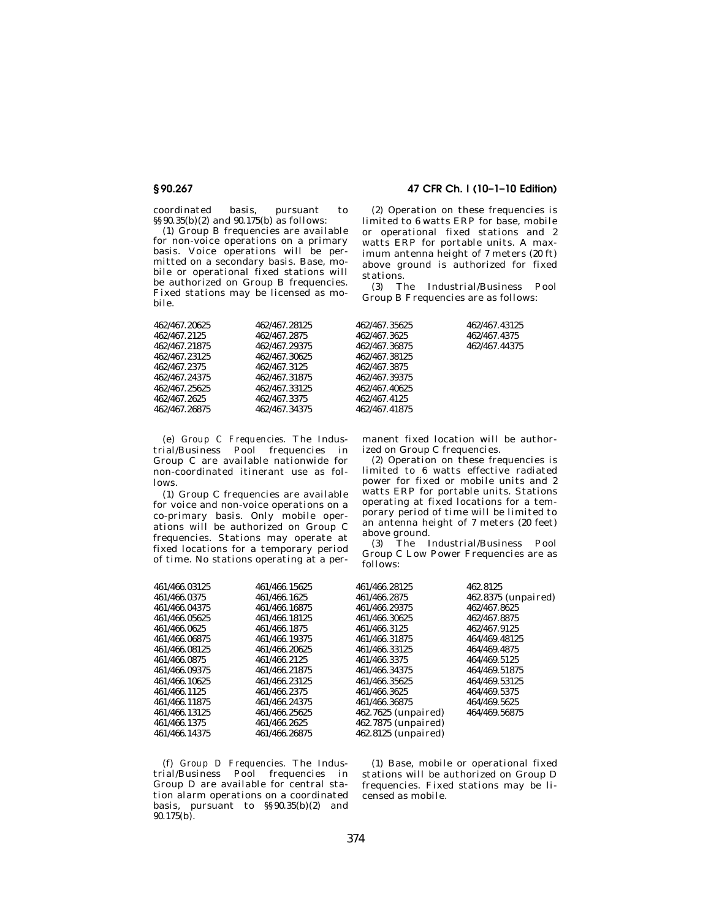coordinated basis, pursuant to §§90.35(b)(2) and 90.175(b) as follows:

(1) Group B frequencies are available for non-voice operations on a primary basis. Voice operations will be permitted on a secondary basis. Base, mobile or operational fixed stations will be authorized on Group B frequencies. Fixed stations may be licensed as mobile.

**§ 90.267 47 CFR Ch. I (10–1–10 Edition)** 

(2) Operation on these frequencies is limited to 6 watts ERP for base, mobile or operational fixed stations and 2 watts ERP for portable units. A maximum antenna height of 7 meters (20 ft) above ground is authorized for fixed stations.

(3) The Industrial/Business Pool Group B Frequencies are as follows:

| 462/467.20625 | 462/467.28125 | 462/467.35625 | 462/467.43125 |
|---------------|---------------|---------------|---------------|
|               |               |               |               |
| 462/467.2125  | 462/467.2875  | 462/467.3625  | 462/467.4375  |
| 462/467.21875 | 462/467.29375 | 462/467.36875 | 462/467.44375 |
| 462/467.23125 | 462/467.30625 | 462/467.38125 |               |
| 462/467.2375  | 462/467.3125  | 462/467.3875  |               |
| 462/467.24375 | 462/467.31875 | 462/467.39375 |               |
| 462/467.25625 | 462/467.33125 | 462/467.40625 |               |
| 462/467.2625  | 462/467.3375  | 462/467.4125  |               |
| 462/467.26875 | 462/467.34375 | 462/467.41875 |               |
|               |               |               |               |

(e) *Group C Frequencies.* The Industrial/Business Pool frequencies in Group C are available nationwide for non-coordinated itinerant use as follows.

(1) Group C frequencies are available for voice and non-voice operations on a co-primary basis. Only mobile operations will be authorized on Group C frequencies. Stations may operate at fixed locations for a temporary period of time. No stations operating at a permanent fixed location will be authorized on Group C frequencies.

(2) Operation on these frequencies is limited to 6 watts effective radiated power for fixed or mobile units and 2 watts ERP for portable units. Stations operating at fixed locations for a temporary period of time will be limited to an antenna height of 7 meters (20 feet) above ground.

(3) The Industrial/Business Pool Group C Low Power Frequencies are as follows:

| 461/466.03125 | 461/466.15625 | 461/466.28125       | 462.8125            |
|---------------|---------------|---------------------|---------------------|
| 461/466.0375  | 461/466.1625  | 461/466.2875        | 462.8375 (unpaired) |
| 461/466.04375 | 461/466.16875 | 461/466.29375       | 462/467.8625        |
| 461/466.05625 | 461/466.18125 | 461/466.30625       | 462/467.8875        |
| 461/466.0625  | 461/466.1875  | 461/466.3125        | 462/467.9125        |
| 461/466.06875 | 461/466.19375 | 461/466.31875       | 464/469.48125       |
| 461/466.08125 | 461/466.20625 | 461/466.33125       | 464/469.4875        |
| 461/466.0875  | 461/466.2125  | 461/466.3375        | 464/469.5125        |
| 461/466.09375 | 461/466.21875 | 461/466.34375       | 464/469.51875       |
| 461/466.10625 | 461/466.23125 | 461/466.35625       | 464/469.53125       |
| 461/466.1125  | 461/466.2375  | 461/466.3625        | 464/469.5375        |
| 461/466.11875 | 461/466.24375 | 461/466.36875       | 464/469.5625        |
| 461/466.13125 | 461/466.25625 | 462.7625 (unpaired) | 464/469.56875       |
| 461/466.1375  | 461/466.2625  | 462.7875 (unpaired) |                     |
| 461/466.14375 | 461/466.26875 | 462.8125 (unpaired) |                     |
|               |               |                     |                     |

(f) *Group D Frequencies.* The Industrial/Business Pool frequencies in Group D are available for central station alarm operations on a coordinated basis, pursuant to §§90.35(b)(2) and  $90.175(b)$ .

(1) Base, mobile or operational fixed stations will be authorized on Group D frequencies. Fixed stations may be licensed as mobile.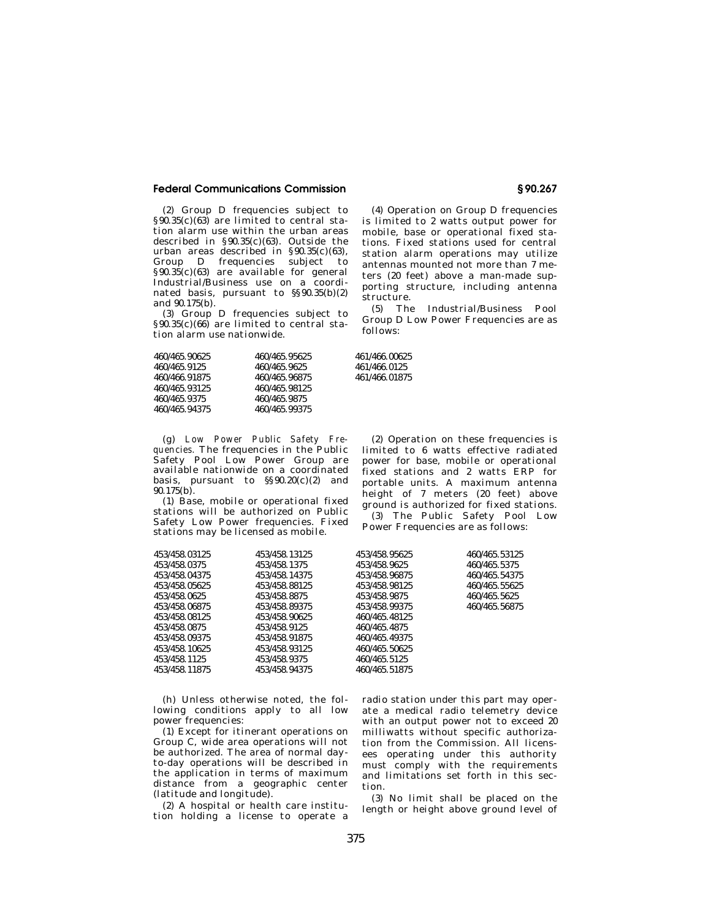# **Federal Communications Commission § 90.267**

(2) Group D frequencies subject to  $§90.35(c)(63)$  are limited to central station alarm use within the urban areas described in §90.35(c)(63). Outside the urban areas described in §90.35(c)(63), Group D frequencies subject to  $$90.35(c)(63)$  are available for general Industrial/Business use on a coordinated basis, pursuant to §§90.35(b)(2) and 90.175(b).

(3) Group D frequencies subject to  $§90.35(c)(66)$  are limited to central station alarm use nationwide.

| 460/465.90625 | 460/465.95625 |
|---------------|---------------|
| 460/465.9125  | 460/465.9625  |
| 460/466.91875 | 460/465.96875 |
| 460/465.93125 | 460/465.98125 |
| 460/465.9375  | 460/465.9875  |
| 460/465.94375 | 460/465.99375 |

(g) *Low Power Public Safety Frequencies.* The frequencies in the Public Safety Pool Low Power Group are available nationwide on a coordinated basis, pursuant to  $\S(90.20(c)(2)$  and  $90.175(b)$ .

(1) Base, mobile or operational fixed stations will be authorized on Public Safety Low Power frequencies. Fixed stations may be licensed as mobile.

| 453/458.03125 | 453/458.13125 | 453/458.95625 | 460/465.53125 |
|---------------|---------------|---------------|---------------|
| 453/458.0375  | 453/458.1375  | 453/458.9625  | 460/465.5375  |
| 453/458.04375 | 453/458.14375 | 453/458.96875 | 460/465.54375 |
| 453/458.05625 | 453/458.88125 | 453/458.98125 | 460/465.55625 |
| 453/458.0625  | 453/458.8875  | 453/458.9875  | 460/465.5625  |
| 453/458.06875 | 453/458.89375 | 453/458.99375 | 460/465.56875 |
| 453/458.08125 | 453/458.90625 | 460/465.48125 |               |
| 453/458.0875  | 453/458.9125  | 460/465.4875  |               |
| 453/458.09375 | 453/458.91875 | 460/465.49375 |               |
| 453/458 10625 | 453/458.93125 | 460/465.50625 |               |
| 453/458.1125  | 453/458.9375  | 460/465.5125  |               |
| 453/458.11875 | 453/458.94375 | 460/465.51875 |               |
|               |               |               |               |

(h) Unless otherwise noted, the following conditions apply to all low power frequencies:

(1) Except for itinerant operations on Group C, wide area operations will not be authorized. The area of normal dayto-day operations will be described in the application in terms of maximum distance from a geographic center (latitude and longitude).

(2) A hospital or health care institution holding a license to operate a

(4) Operation on Group D frequencies is limited to 2 watts output power for mobile, base or operational fixed stations. Fixed stations used for central station alarm operations may utilize antennas mounted not more than 7 meters (20 feet) above a man-made supporting structure, including antenna structure.

(5) The Industrial/Business Pool Group D Low Power Frequencies are as follows:

460/465.90625 460/465.95625 461/466.00625 460/465.9125 460/465.9625 461/466.0125 460/466.91875 460/465.96875 461/466.01875

(2) Operation on these frequencies is limited to 6 watts effective radiated power for base, mobile or operational fixed stations and 2 watts ERP for portable units. A maximum antenna height of 7 meters (20 feet) above ground is authorized for fixed stations. (3) The Public Safety Pool Low Power Frequencies are as follows:

radio station under this part may operate a medical radio telemetry device with an output power not to exceed 20 milliwatts without specific authorization from the Commission. All licensees operating under this authority must comply with the requirements and limitations set forth in this section.

(3) No limit shall be placed on the length or height above ground level of